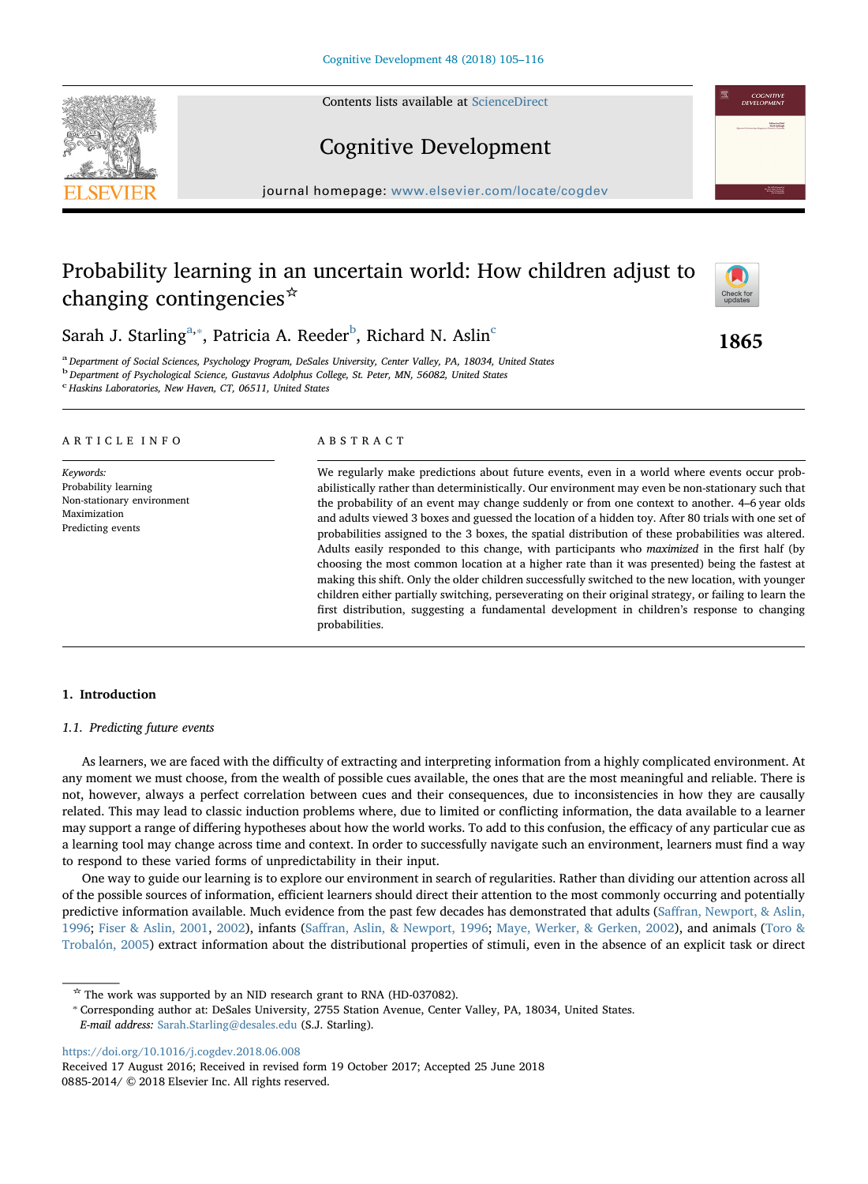Contents lists available at [ScienceDirect](http://www.sciencedirect.com/science/journal/08852014)

# Cognitive Development

journal homepage: [www.elsevier.com/locate/cogdev](https://www.elsevier.com/locate/cogdev)

## Probability learning in an uncertain world: How children adjust to changing contingencies☆



<span id="page-0-0"></span>a Department of Social Sciences, Psychology Program, DeSales University, Center Valley, PA, 18034, United States

<span id="page-0-2"></span><sup>b</sup> Department of Psychological Science, Gustavus Adolphus College, St. Peter, MN, 56082, United States

<span id="page-0-3"></span>c Haskins Laboratories, New Haven, CT, 06511, United States

## ARTICLE INFO

Keywords: Probability learning Non-stationary environment Maximization Predicting events

#### ABSTRACT

We regularly make predictions about future events, even in a world where events occur probabilistically rather than deterministically. Our environment may even be non-stationary such that the probability of an event may change suddenly or from one context to another. 4–6 year olds and adults viewed 3 boxes and guessed the location of a hidden toy. After 80 trials with one set of probabilities assigned to the 3 boxes, the spatial distribution of these probabilities was altered. Adults easily responded to this change, with participants who maximized in the first half (by choosing the most common location at a higher rate than it was presented) being the fastest at making this shift. Only the older children successfully switched to the new location, with younger children either partially switching, perseverating on their original strategy, or failing to learn the first distribution, suggesting a fundamental development in children's response to changing probabilities.

## 1. Introduction

#### 1.1. Predicting future events

As learners, we are faced with the difficulty of extracting and interpreting information from a highly complicated environment. At any moment we must choose, from the wealth of possible cues available, the ones that are the most meaningful and reliable. There is not, however, always a perfect correlation between cues and their consequences, due to inconsistencies in how they are causally related. This may lead to classic induction problems where, due to limited or conflicting information, the data available to a learner may support a range of differing hypotheses about how the world works. To add to this confusion, the efficacy of any particular cue as a learning tool may change across time and context. In order to successfully navigate such an environment, learners must find a way to respond to these varied forms of unpredictability in their input.

One way to guide our learning is to explore our environment in search of regularities. Rather than dividing our attention across all of the possible sources of information, efficient learners should direct their attention to the most commonly occurring and potentially predictive information available. Much evidence from the past few decades has demonstrated that adults (Saff[ran, Newport, & Aslin,](#page-11-0) [1996;](#page-11-0) [Fiser & Aslin, 2001,](#page-11-1) [2002\)](#page-11-2), infants (Saff[ran, Aslin, & Newport, 1996;](#page-11-3) [Maye, Werker, & Gerken, 2002](#page-11-4)), and animals [\(Toro &](#page-11-5) [Trobalón, 2005\)](#page-11-5) extract information about the distributional properties of stimuli, even in the absence of an explicit task or direct

<https://doi.org/10.1016/j.cogdev.2018.06.008>

Received 17 August 2016; Received in revised form 19 October 2017; Accepted 25 June 2018 0885-2014/ © 2018 Elsevier Inc. All rights reserved.







Check fo

<span id="page-0-1"></span> $\star$  The work was supported by an NID research grant to RNA (HD-037082).<br>\* Corresponding author at: DeSales University, 2755 Station Avenue, Center Valley, PA, 18034, United States. E-mail address: [Sarah.Starling@desales.edu](mailto:Sarah.Starling@desales.edu) (S.J. Starling).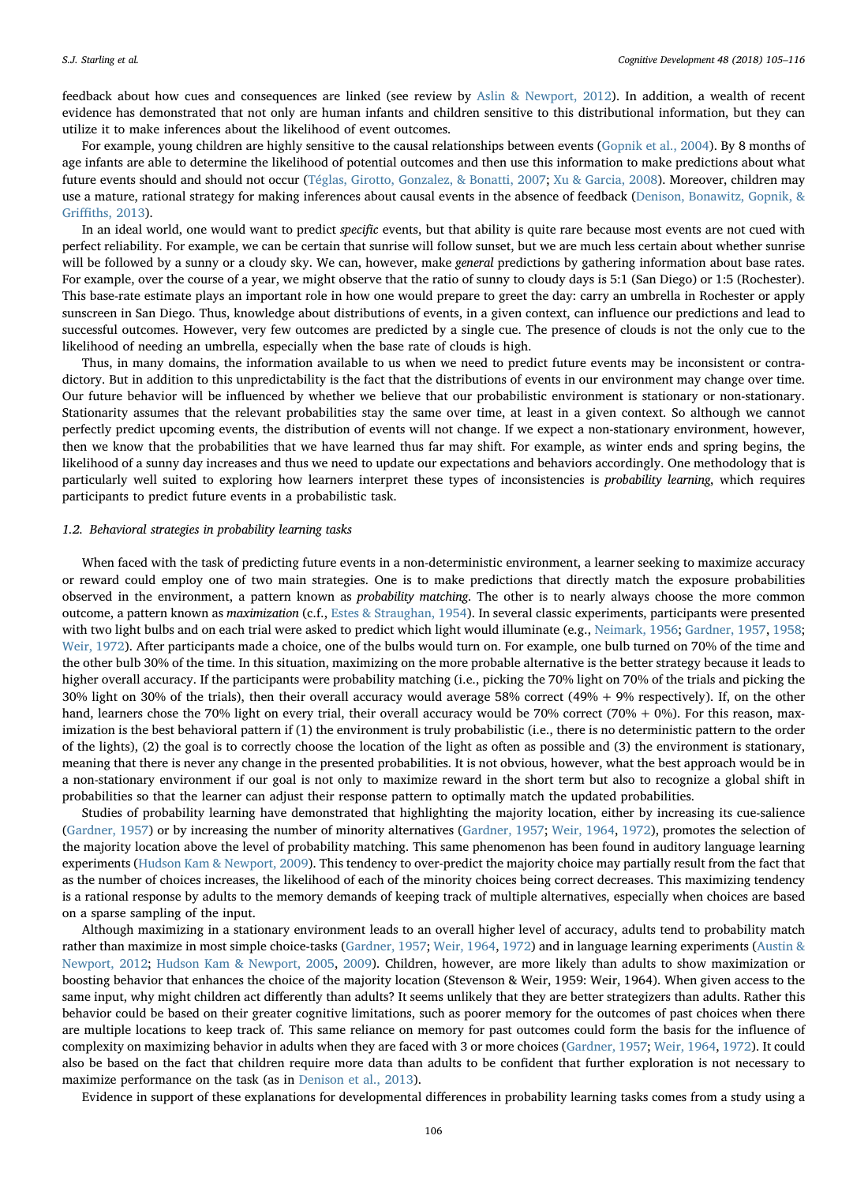feedback about how cues and consequences are linked (see review by [Aslin & Newport, 2012\)](#page-11-6). In addition, a wealth of recent evidence has demonstrated that not only are human infants and children sensitive to this distributional information, but they can utilize it to make inferences about the likelihood of event outcomes.

For example, young children are highly sensitive to the causal relationships between events ([Gopnik et al., 2004\)](#page-11-7). By 8 months of age infants are able to determine the likelihood of potential outcomes and then use this information to make predictions about what future events should and should not occur [\(Téglas, Girotto, Gonzalez, & Bonatti, 2007;](#page-11-8) [Xu & Garcia, 2008\)](#page-11-9). Moreover, children may use a mature, rational strategy for making inferences about causal events in the absence of feedback [\(Denison, Bonawitz, Gopnik, &](#page-11-10) Griffi[ths, 2013\)](#page-11-10).

In an ideal world, one would want to predict specific events, but that ability is quite rare because most events are not cued with perfect reliability. For example, we can be certain that sunrise will follow sunset, but we are much less certain about whether sunrise will be followed by a sunny or a cloudy sky. We can, however, make general predictions by gathering information about base rates. For example, over the course of a year, we might observe that the ratio of sunny to cloudy days is 5:1 (San Diego) or 1:5 (Rochester). This base-rate estimate plays an important role in how one would prepare to greet the day: carry an umbrella in Rochester or apply sunscreen in San Diego. Thus, knowledge about distributions of events, in a given context, can influence our predictions and lead to successful outcomes. However, very few outcomes are predicted by a single cue. The presence of clouds is not the only cue to the likelihood of needing an umbrella, especially when the base rate of clouds is high.

Thus, in many domains, the information available to us when we need to predict future events may be inconsistent or contradictory. But in addition to this unpredictability is the fact that the distributions of events in our environment may change over time. Our future behavior will be influenced by whether we believe that our probabilistic environment is stationary or non-stationary. Stationarity assumes that the relevant probabilities stay the same over time, at least in a given context. So although we cannot perfectly predict upcoming events, the distribution of events will not change. If we expect a non-stationary environment, however, then we know that the probabilities that we have learned thus far may shift. For example, as winter ends and spring begins, the likelihood of a sunny day increases and thus we need to update our expectations and behaviors accordingly. One methodology that is particularly well suited to exploring how learners interpret these types of inconsistencies is probability learning, which requires participants to predict future events in a probabilistic task.

#### 1.2. Behavioral strategies in probability learning tasks

When faced with the task of predicting future events in a non-deterministic environment, a learner seeking to maximize accuracy or reward could employ one of two main strategies. One is to make predictions that directly match the exposure probabilities observed in the environment, a pattern known as probability matching. The other is to nearly always choose the more common outcome, a pattern known as maximization (c.f., [Estes & Straughan, 1954](#page-11-11)). In several classic experiments, participants were presented with two light bulbs and on each trial were asked to predict which light would illuminate (e.g., [Neimark, 1956;](#page-11-12) [Gardner, 1957,](#page-11-13) [1958;](#page-11-14) [Weir, 1972](#page-11-15)). After participants made a choice, one of the bulbs would turn on. For example, one bulb turned on 70% of the time and the other bulb 30% of the time. In this situation, maximizing on the more probable alternative is the better strategy because it leads to higher overall accuracy. If the participants were probability matching (i.e., picking the 70% light on 70% of the trials and picking the 30% light on 30% of the trials), then their overall accuracy would average 58% correct (49% + 9% respectively). If, on the other hand, learners chose the 70% light on every trial, their overall accuracy would be 70% correct (70% + 0%). For this reason, maximization is the best behavioral pattern if (1) the environment is truly probabilistic (i.e., there is no deterministic pattern to the order of the lights), (2) the goal is to correctly choose the location of the light as often as possible and (3) the environment is stationary, meaning that there is never any change in the presented probabilities. It is not obvious, however, what the best approach would be in a non-stationary environment if our goal is not only to maximize reward in the short term but also to recognize a global shift in probabilities so that the learner can adjust their response pattern to optimally match the updated probabilities.

Studies of probability learning have demonstrated that highlighting the majority location, either by increasing its cue-salience ([Gardner, 1957](#page-11-13)) or by increasing the number of minority alternatives [\(Gardner, 1957;](#page-11-13) [Weir, 1964,](#page-11-16) [1972](#page-11-15)), promotes the selection of the majority location above the level of probability matching. This same phenomenon has been found in auditory language learning experiments ([Hudson Kam & Newport, 2009](#page-11-17)). This tendency to over-predict the majority choice may partially result from the fact that as the number of choices increases, the likelihood of each of the minority choices being correct decreases. This maximizing tendency is a rational response by adults to the memory demands of keeping track of multiple alternatives, especially when choices are based on a sparse sampling of the input.

Although maximizing in a stationary environment leads to an overall higher level of accuracy, adults tend to probability match rather than maximize in most simple choice-tasks ([Gardner, 1957;](#page-11-13) [Weir, 1964](#page-11-16), [1972](#page-11-15)) and in language learning experiments ([Austin](#page-11-18) & [Newport, 2012;](#page-11-18) [Hudson Kam & Newport, 2005,](#page-11-19) [2009](#page-11-17)). Children, however, are more likely than adults to show maximization or boosting behavior that enhances the choice of the majority location (Stevenson & Weir, 1959: Weir, 1964). When given access to the same input, why might children act differently than adults? It seems unlikely that they are better strategizers than adults. Rather this behavior could be based on their greater cognitive limitations, such as poorer memory for the outcomes of past choices when there are multiple locations to keep track of. This same reliance on memory for past outcomes could form the basis for the influence of complexity on maximizing behavior in adults when they are faced with 3 or more choices [\(Gardner, 1957](#page-11-13); [Weir, 1964](#page-11-16), [1972](#page-11-15)). It could also be based on the fact that children require more data than adults to be confident that further exploration is not necessary to maximize performance on the task (as in [Denison et al., 2013](#page-11-10)).

Evidence in support of these explanations for developmental differences in probability learning tasks comes from a study using a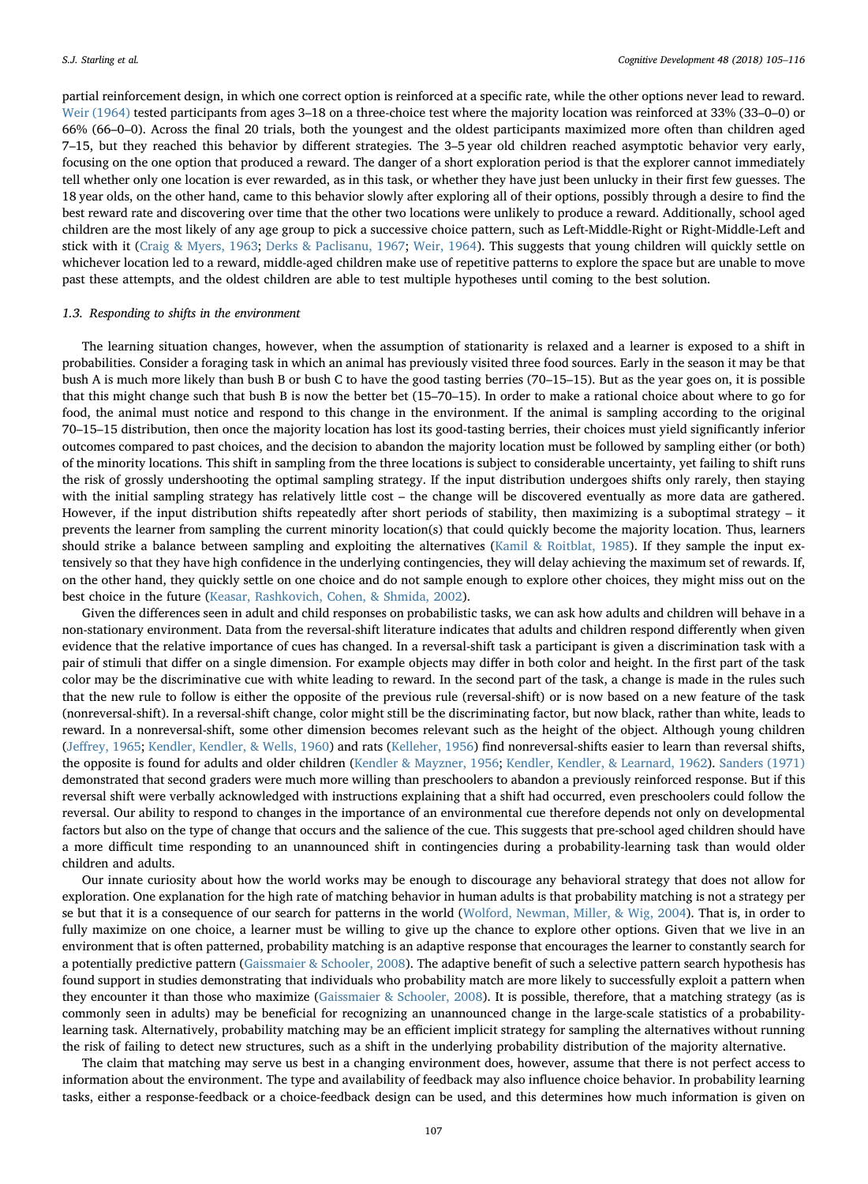partial reinforcement design, in which one correct option is reinforced at a specific rate, while the other options never lead to reward. [Weir \(1964\)](#page-11-16) tested participants from ages 3–18 on a three-choice test where the majority location was reinforced at 33% (33–0–0) or 66% (66–0–0). Across the final 20 trials, both the youngest and the oldest participants maximized more often than children aged 7–15, but they reached this behavior by different strategies. The 3–5 year old children reached asymptotic behavior very early, focusing on the one option that produced a reward. The danger of a short exploration period is that the explorer cannot immediately tell whether only one location is ever rewarded, as in this task, or whether they have just been unlucky in their first few guesses. The 18 year olds, on the other hand, came to this behavior slowly after exploring all of their options, possibly through a desire to find the best reward rate and discovering over time that the other two locations were unlikely to produce a reward. Additionally, school aged children are the most likely of any age group to pick a successive choice pattern, such as Left-Middle-Right or Right-Middle-Left and stick with it ([Craig & Myers, 1963;](#page-11-20) [Derks & Paclisanu, 1967](#page-11-21); [Weir, 1964](#page-11-16)). This suggests that young children will quickly settle on whichever location led to a reward, middle-aged children make use of repetitive patterns to explore the space but are unable to move past these attempts, and the oldest children are able to test multiple hypotheses until coming to the best solution.

#### 1.3. Responding to shifts in the environment

The learning situation changes, however, when the assumption of stationarity is relaxed and a learner is exposed to a shift in probabilities. Consider a foraging task in which an animal has previously visited three food sources. Early in the season it may be that bush A is much more likely than bush B or bush C to have the good tasting berries (70–15–15). But as the year goes on, it is possible that this might change such that bush B is now the better bet (15–70–15). In order to make a rational choice about where to go for food, the animal must notice and respond to this change in the environment. If the animal is sampling according to the original 70–15–15 distribution, then once the majority location has lost its good-tasting berries, their choices must yield significantly inferior outcomes compared to past choices, and the decision to abandon the majority location must be followed by sampling either (or both) of the minority locations. This shift in sampling from the three locations is subject to considerable uncertainty, yet failing to shift runs the risk of grossly undershooting the optimal sampling strategy. If the input distribution undergoes shifts only rarely, then staying with the initial sampling strategy has relatively little cost – the change will be discovered eventually as more data are gathered. However, if the input distribution shifts repeatedly after short periods of stability, then maximizing is a suboptimal strategy – it prevents the learner from sampling the current minority location(s) that could quickly become the majority location. Thus, learners should strike a balance between sampling and exploiting the alternatives ([Kamil & Roitblat, 1985\)](#page-11-22). If they sample the input extensively so that they have high confidence in the underlying contingencies, they will delay achieving the maximum set of rewards. If, on the other hand, they quickly settle on one choice and do not sample enough to explore other choices, they might miss out on the best choice in the future ([Keasar, Rashkovich, Cohen, & Shmida, 2002](#page-11-23)).

Given the differences seen in adult and child responses on probabilistic tasks, we can ask how adults and children will behave in a non-stationary environment. Data from the reversal-shift literature indicates that adults and children respond differently when given evidence that the relative importance of cues has changed. In a reversal-shift task a participant is given a discrimination task with a pair of stimuli that differ on a single dimension. For example objects may differ in both color and height. In the first part of the task color may be the discriminative cue with white leading to reward. In the second part of the task, a change is made in the rules such that the new rule to follow is either the opposite of the previous rule (reversal-shift) or is now based on a new feature of the task (nonreversal-shift). In a reversal-shift change, color might still be the discriminating factor, but now black, rather than white, leads to reward. In a nonreversal-shift, some other dimension becomes relevant such as the height of the object. Although young children (Jeffrey, [1965;](#page-11-24) [Kendler, Kendler, & Wells, 1960\)](#page-11-25) and rats ([Kelleher, 1956](#page-11-26)) find nonreversal-shifts easier to learn than reversal shifts, the opposite is found for adults and older children [\(Kendler & Mayzner, 1956](#page-11-27); [Kendler, Kendler, & Learnard, 1962\)](#page-11-28). [Sanders \(1971\)](#page-11-29) demonstrated that second graders were much more willing than preschoolers to abandon a previously reinforced response. But if this reversal shift were verbally acknowledged with instructions explaining that a shift had occurred, even preschoolers could follow the reversal. Our ability to respond to changes in the importance of an environmental cue therefore depends not only on developmental factors but also on the type of change that occurs and the salience of the cue. This suggests that pre-school aged children should have a more difficult time responding to an unannounced shift in contingencies during a probability-learning task than would older children and adults.

Our innate curiosity about how the world works may be enough to discourage any behavioral strategy that does not allow for exploration. One explanation for the high rate of matching behavior in human adults is that probability matching is not a strategy per se but that it is a consequence of our search for patterns in the world ([Wolford, Newman, Miller, & Wig, 2004\)](#page-11-30). That is, in order to fully maximize on one choice, a learner must be willing to give up the chance to explore other options. Given that we live in an environment that is often patterned, probability matching is an adaptive response that encourages the learner to constantly search for a potentially predictive pattern [\(Gaissmaier & Schooler, 2008](#page-11-31)). The adaptive benefit of such a selective pattern search hypothesis has found support in studies demonstrating that individuals who probability match are more likely to successfully exploit a pattern when they encounter it than those who maximize [\(Gaissmaier & Schooler, 2008\)](#page-11-31). It is possible, therefore, that a matching strategy (as is commonly seen in adults) may be beneficial for recognizing an unannounced change in the large-scale statistics of a probabilitylearning task. Alternatively, probability matching may be an efficient implicit strategy for sampling the alternatives without running the risk of failing to detect new structures, such as a shift in the underlying probability distribution of the majority alternative.

The claim that matching may serve us best in a changing environment does, however, assume that there is not perfect access to information about the environment. The type and availability of feedback may also influence choice behavior. In probability learning tasks, either a response-feedback or a choice-feedback design can be used, and this determines how much information is given on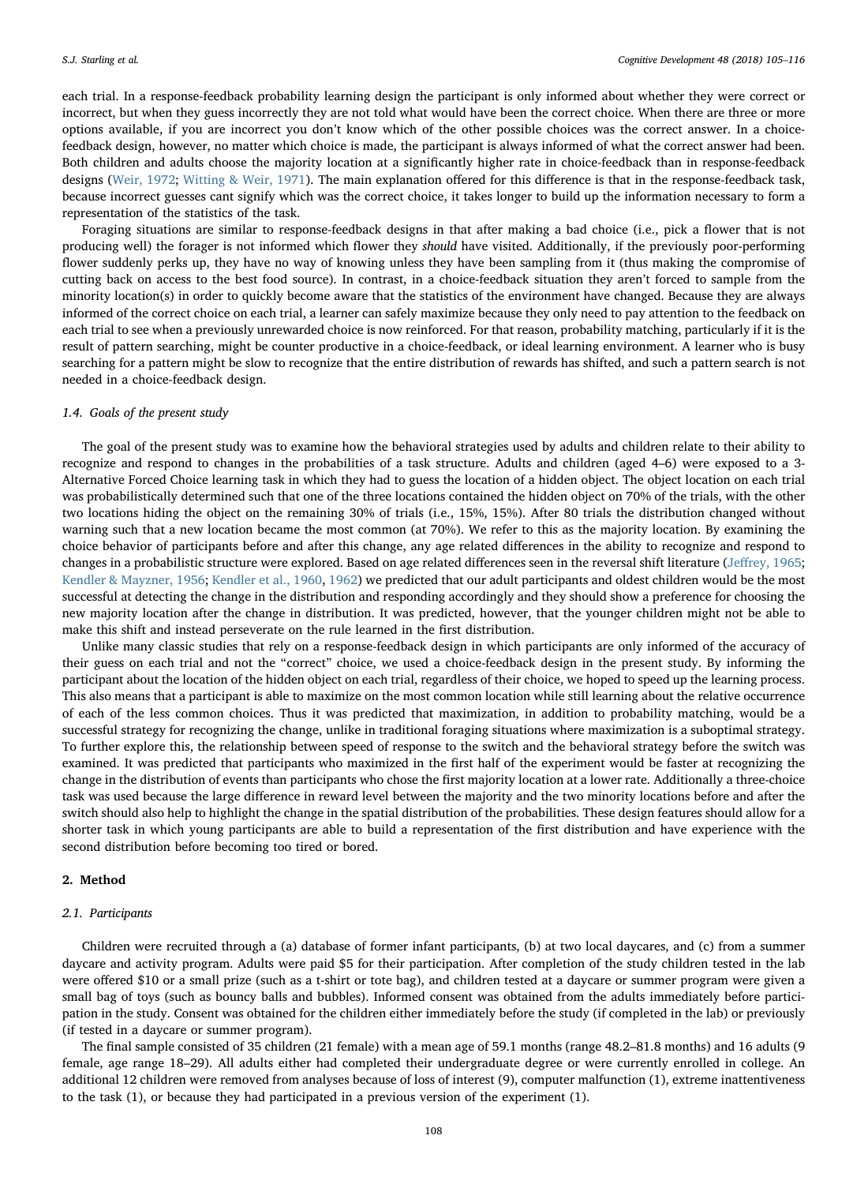each trial. In a response-feedback probability learning design the participant is only informed about whether they were correct or incorrect, but when they guess incorrectly they are not told what would have been the correct choice. When there are three or more options available, if you are incorrect you don't know which of the other possible choices was the correct answer. In a choicefeedback design, however, no matter which choice is made, the participant is always informed of what the correct answer had been. Both children and adults choose the majority location at a significantly higher rate in choice-feedback than in response-feedback designs [\(Weir, 1972](#page-11-15); [Witting & Weir, 1971\)](#page-11-32). The main explanation offered for this difference is that in the response-feedback task, because incorrect guesses cant signify which was the correct choice, it takes longer to build up the information necessary to form a representation of the statistics of the task.

Foraging situations are similar to response-feedback designs in that after making a bad choice (i.e., pick a flower that is not producing well) the forager is not informed which flower they should have visited. Additionally, if the previously poor-performing flower suddenly perks up, they have no way of knowing unless they have been sampling from it (thus making the compromise of cutting back on access to the best food source). In contrast, in a choice-feedback situation they aren't forced to sample from the minority location(s) in order to quickly become aware that the statistics of the environment have changed. Because they are always informed of the correct choice on each trial, a learner can safely maximize because they only need to pay attention to the feedback on each trial to see when a previously unrewarded choice is now reinforced. For that reason, probability matching, particularly if it is the result of pattern searching, might be counter productive in a choice-feedback, or ideal learning environment. A learner who is busy searching for a pattern might be slow to recognize that the entire distribution of rewards has shifted, and such a pattern search is not needed in a choice-feedback design.

#### 1.4. Goals of the present study

The goal of the present study was to examine how the behavioral strategies used by adults and children relate to their ability to recognize and respond to changes in the probabilities of a task structure. Adults and children (aged 4–6) were exposed to a 3- Alternative Forced Choice learning task in which they had to guess the location of a hidden object. The object location on each trial was probabilistically determined such that one of the three locations contained the hidden object on 70% of the trials, with the other two locations hiding the object on the remaining 30% of trials (i.e., 15%, 15%). After 80 trials the distribution changed without warning such that a new location became the most common (at 70%). We refer to this as the majority location. By examining the choice behavior of participants before and after this change, any age related differences in the ability to recognize and respond to changes in a probabilistic structure were explored. Based on age related differences seen in the reversal shift literature (Jeff[rey, 1965;](#page-11-24) [Kendler & Mayzner, 1956;](#page-11-27) [Kendler et al., 1960](#page-11-25), [1962](#page-11-28)) we predicted that our adult participants and oldest children would be the most successful at detecting the change in the distribution and responding accordingly and they should show a preference for choosing the new majority location after the change in distribution. It was predicted, however, that the younger children might not be able to make this shift and instead perseverate on the rule learned in the first distribution.

Unlike many classic studies that rely on a response-feedback design in which participants are only informed of the accuracy of their guess on each trial and not the "correct" choice, we used a choice-feedback design in the present study. By informing the participant about the location of the hidden object on each trial, regardless of their choice, we hoped to speed up the learning process. This also means that a participant is able to maximize on the most common location while still learning about the relative occurrence of each of the less common choices. Thus it was predicted that maximization, in addition to probability matching, would be a successful strategy for recognizing the change, unlike in traditional foraging situations where maximization is a suboptimal strategy. To further explore this, the relationship between speed of response to the switch and the behavioral strategy before the switch was examined. It was predicted that participants who maximized in the first half of the experiment would be faster at recognizing the change in the distribution of events than participants who chose the first majority location at a lower rate. Additionally a three-choice task was used because the large difference in reward level between the majority and the two minority locations before and after the switch should also help to highlight the change in the spatial distribution of the probabilities. These design features should allow for a shorter task in which young participants are able to build a representation of the first distribution and have experience with the second distribution before becoming too tired or bored.

## 2. Method

### 2.1. Participants

Children were recruited through a (a) database of former infant participants, (b) at two local daycares, and (c) from a summer daycare and activity program. Adults were paid \$5 for their participation. After completion of the study children tested in the lab were offered \$10 or a small prize (such as a t-shirt or tote bag), and children tested at a daycare or summer program were given a small bag of toys (such as bouncy balls and bubbles). Informed consent was obtained from the adults immediately before participation in the study. Consent was obtained for the children either immediately before the study (if completed in the lab) or previously (if tested in a daycare or summer program).

The final sample consisted of 35 children (21 female) with a mean age of 59.1 months (range 48.2–81.8 months) and 16 adults (9 female, age range 18–29). All adults either had completed their undergraduate degree or were currently enrolled in college. An additional 12 children were removed from analyses because of loss of interest (9), computer malfunction (1), extreme inattentiveness to the task (1), or because they had participated in a previous version of the experiment (1).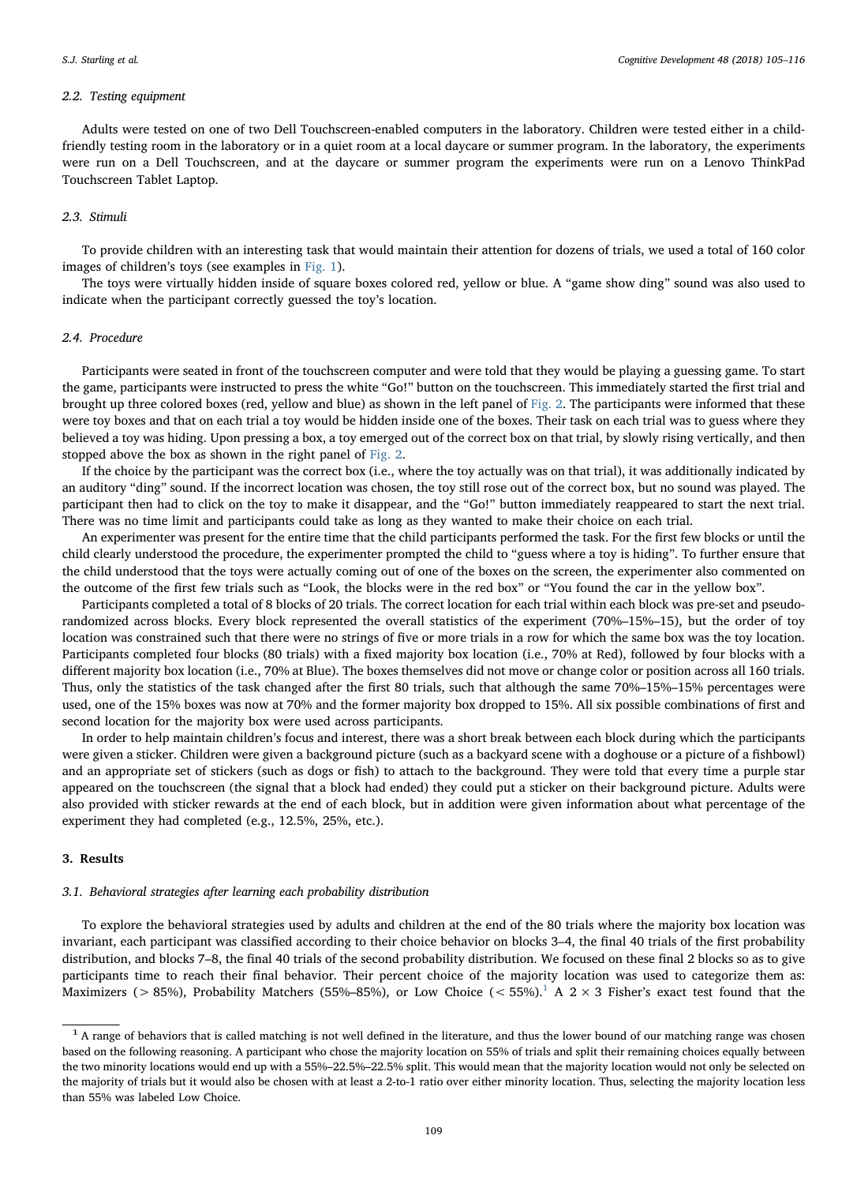### 2.2. Testing equipment

Adults were tested on one of two Dell Touchscreen-enabled computers in the laboratory. Children were tested either in a childfriendly testing room in the laboratory or in a quiet room at a local daycare or summer program. In the laboratory, the experiments were run on a Dell Touchscreen, and at the daycare or summer program the experiments were run on a Lenovo ThinkPad Touchscreen Tablet Laptop.

## 2.3. Stimuli

To provide children with an interesting task that would maintain their attention for dozens of trials, we used a total of 160 color images of children's toys (see examples in [Fig. 1\)](#page-5-0).

The toys were virtually hidden inside of square boxes colored red, yellow or blue. A "game show ding" sound was also used to indicate when the participant correctly guessed the toy's location.

### 2.4. Procedure

Participants were seated in front of the touchscreen computer and were told that they would be playing a guessing game. To start the game, participants were instructed to press the white "Go!" button on the touchscreen. This immediately started the first trial and brought up three colored boxes (red, yellow and blue) as shown in the left panel of [Fig. 2](#page-5-1). The participants were informed that these were toy boxes and that on each trial a toy would be hidden inside one of the boxes. Their task on each trial was to guess where they believed a toy was hiding. Upon pressing a box, a toy emerged out of the correct box on that trial, by slowly rising vertically, and then stopped above the box as shown in the right panel of [Fig. 2](#page-5-1).

If the choice by the participant was the correct box (i.e., where the toy actually was on that trial), it was additionally indicated by an auditory "ding" sound. If the incorrect location was chosen, the toy still rose out of the correct box, but no sound was played. The participant then had to click on the toy to make it disappear, and the "Go!" button immediately reappeared to start the next trial. There was no time limit and participants could take as long as they wanted to make their choice on each trial.

An experimenter was present for the entire time that the child participants performed the task. For the first few blocks or until the child clearly understood the procedure, the experimenter prompted the child to "guess where a toy is hiding". To further ensure that the child understood that the toys were actually coming out of one of the boxes on the screen, the experimenter also commented on the outcome of the first few trials such as "Look, the blocks were in the red box" or "You found the car in the yellow box".

Participants completed a total of 8 blocks of 20 trials. The correct location for each trial within each block was pre-set and pseudorandomized across blocks. Every block represented the overall statistics of the experiment (70%–15%–15), but the order of toy location was constrained such that there were no strings of five or more trials in a row for which the same box was the toy location. Participants completed four blocks (80 trials) with a fixed majority box location (i.e., 70% at Red), followed by four blocks with a different majority box location (i.e., 70% at Blue). The boxes themselves did not move or change color or position across all 160 trials. Thus, only the statistics of the task changed after the first 80 trials, such that although the same 70%–15%–15% percentages were used, one of the 15% boxes was now at 70% and the former majority box dropped to 15%. All six possible combinations of first and second location for the majority box were used across participants.

In order to help maintain children's focus and interest, there was a short break between each block during which the participants were given a sticker. Children were given a background picture (such as a backyard scene with a doghouse or a picture of a fishbowl) and an appropriate set of stickers (such as dogs or fish) to attach to the background. They were told that every time a purple star appeared on the touchscreen (the signal that a block had ended) they could put a sticker on their background picture. Adults were also provided with sticker rewards at the end of each block, but in addition were given information about what percentage of the experiment they had completed (e.g., 12.5%, 25%, etc.).

## 3. Results

## 3.1. Behavioral strategies after learning each probability distribution

To explore the behavioral strategies used by adults and children at the end of the 80 trials where the majority box location was invariant, each participant was classified according to their choice behavior on blocks 3–4, the final 40 trials of the first probability distribution, and blocks 7–8, the final 40 trials of the second probability distribution. We focused on these final 2 blocks so as to give participants time to reach their final behavior. Their percent choice of the majority location was used to categorize them as: Maximizers (> 85%), Probability Matchers (55%–85%), or Low Choice (< 55%).<sup>[1](#page-4-0)</sup> A 2 × 3 Fisher's exact test found that the

<span id="page-4-0"></span><sup>&</sup>lt;sup>1</sup> A range of behaviors that is called matching is not well defined in the literature, and thus the lower bound of our matching range was chosen based on the following reasoning. A participant who chose the majority location on 55% of trials and split their remaining choices equally between the two minority locations would end up with a 55%–22.5%–22.5% split. This would mean that the majority location would not only be selected on the majority of trials but it would also be chosen with at least a 2-to-1 ratio over either minority location. Thus, selecting the majority location less than 55% was labeled Low Choice.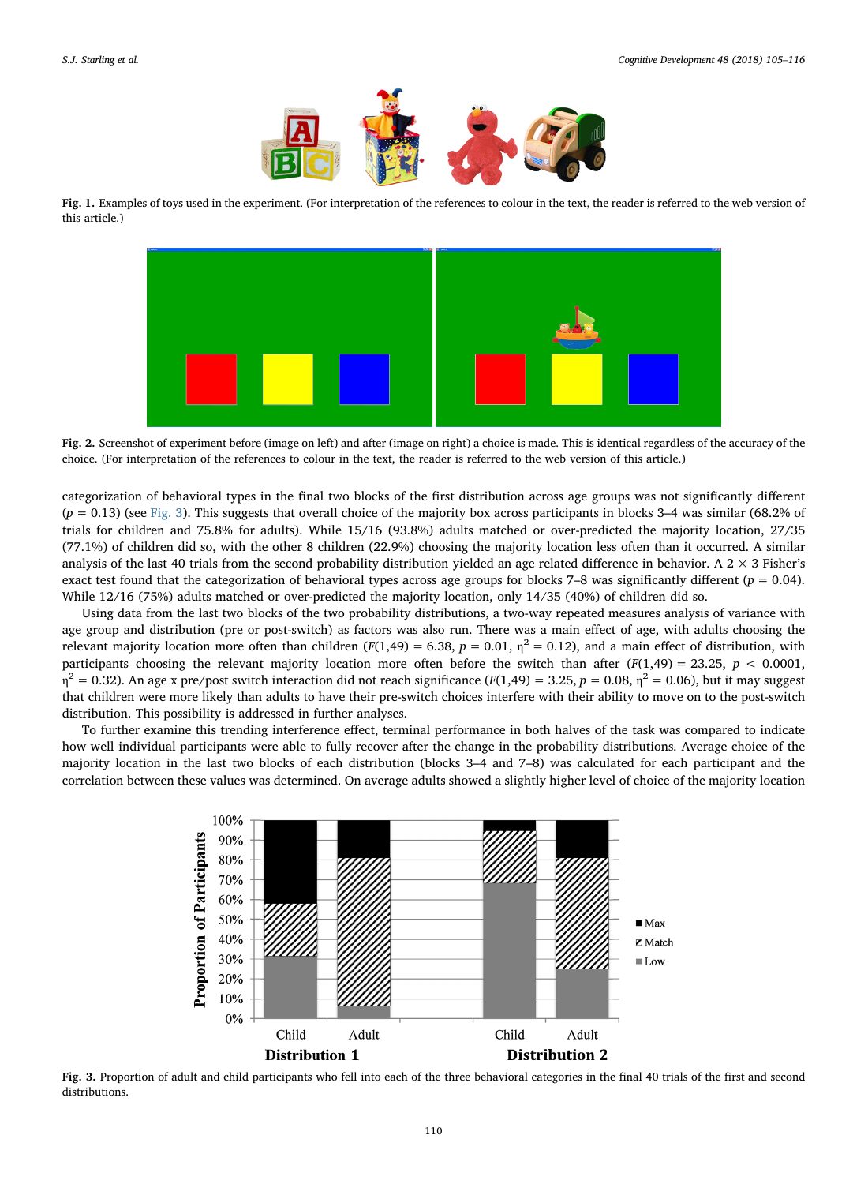<span id="page-5-0"></span>

Fig. 1. Examples of toys used in the experiment. (For interpretation of the references to colour in the text, the reader is referred to the web version of this article.)

<span id="page-5-1"></span>

Fig. 2. Screenshot of experiment before (image on left) and after (image on right) a choice is made. This is identical regardless of the accuracy of the choice. (For interpretation of the references to colour in the text, the reader is referred to the web version of this article.)

categorization of behavioral types in the final two blocks of the first distribution across age groups was not significantly different  $(p = 0.13)$  (see [Fig. 3\)](#page-5-2). This suggests that overall choice of the majority box across participants in blocks 3–4 was similar (68.2% of trials for children and 75.8% for adults). While 15/16 (93.8%) adults matched or over-predicted the majority location, 27/35 (77.1%) of children did so, with the other 8 children (22.9%) choosing the majority location less often than it occurred. A similar analysis of the last 40 trials from the second probability distribution yielded an age related difference in behavior. A  $2 \times 3$  Fisher's exact test found that the categorization of behavioral types across age groups for blocks 7–8 was significantly different ( $p = 0.04$ ). While 12/16 (75%) adults matched or over-predicted the majority location, only 14/35 (40%) of children did so.

Using data from the last two blocks of the two probability distributions, a two-way repeated measures analysis of variance with age group and distribution (pre or post-switch) as factors was also run. There was a main effect of age, with adults choosing the relevant majority location more often than children (F(1,49) = 6.38,  $p = 0.01$ ,  $n^2 = 0.12$ ), and a main effect of distribution, with participants choosing the relevant majority location more often before the switch than after  $(F(1,49) = 23.25, p < 0.0001,$  $\eta^2 = 0.32$ ). An age x pre/post switch interaction did not reach significance (F(1,49) = 3.25, p = 0.08,  $\eta^2 = 0.06$ ), but it may suggest that children were more likely than adults to have their pre-switch choices interfere with their ability to move on to the post-switch distribution. This possibility is addressed in further analyses.

<span id="page-5-2"></span>To further examine this trending interference effect, terminal performance in both halves of the task was compared to indicate how well individual participants were able to fully recover after the change in the probability distributions. Average choice of the majority location in the last two blocks of each distribution (blocks 3–4 and 7–8) was calculated for each participant and the correlation between these values was determined. On average adults showed a slightly higher level of choice of the majority location



Fig. 3. Proportion of adult and child participants who fell into each of the three behavioral categories in the final 40 trials of the first and second distributions.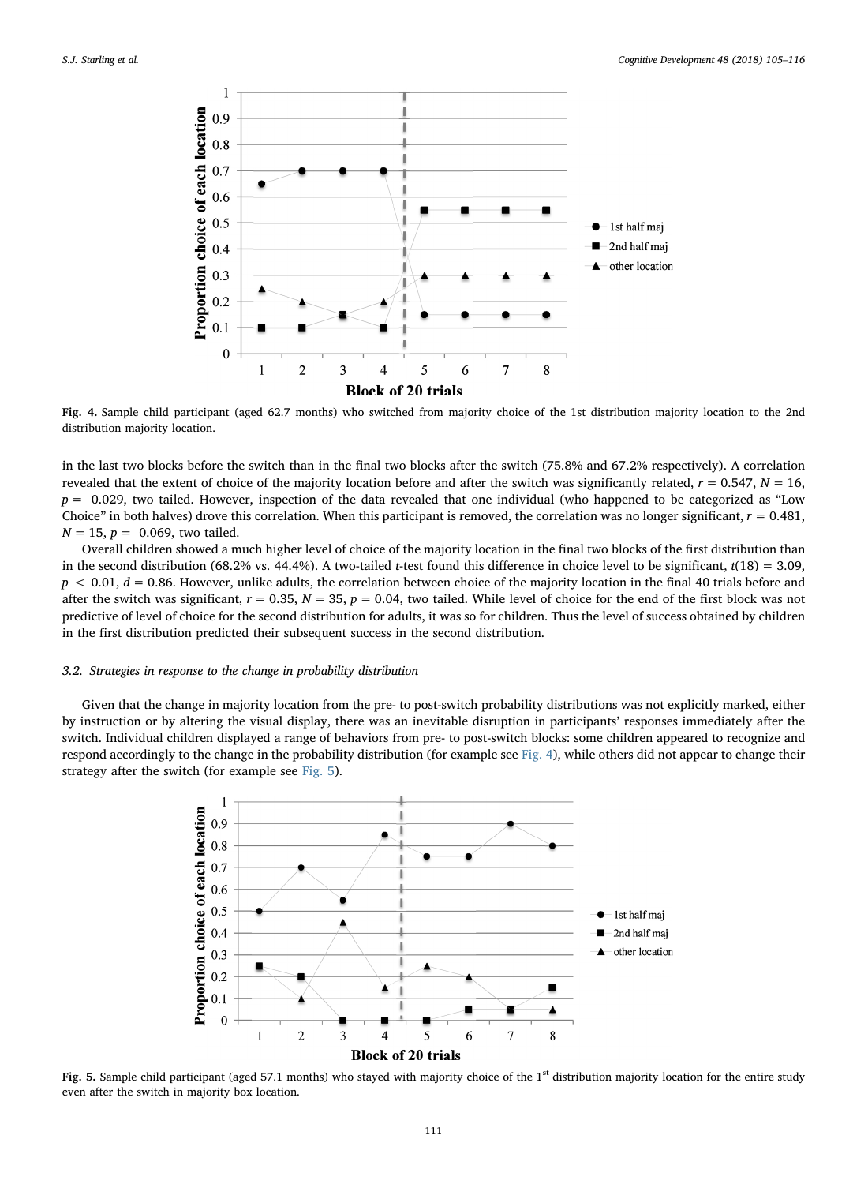<span id="page-6-0"></span>

Fig. 4. Sample child participant (aged 62.7 months) who switched from majority choice of the 1st distribution majority location to the 2nd distribution majority location.

in the last two blocks before the switch than in the final two blocks after the switch (75.8% and 67.2% respectively). A correlation revealed that the extent of choice of the majority location before and after the switch was significantly related,  $r = 0.547$ ,  $N = 16$ ,  $p = 0.029$ , two tailed. However, inspection of the data revealed that one individual (who happened to be categorized as "Low Choice" in both halves) drove this correlation. When this participant is removed, the correlation was no longer significant,  $r = 0.481$ ,  $N = 15$ ,  $p = 0.069$ , two tailed.

Overall children showed a much higher level of choice of the majority location in the final two blocks of the first distribution than in the second distribution (68.2% vs. 44.4%). A two-tailed t-test found this difference in choice level to be significant,  $t(18) = 3.09$ ,  $p < 0.01$ ,  $d = 0.86$ . However, unlike adults, the correlation between choice of the majority location in the final 40 trials before and after the switch was significant,  $r = 0.35$ ,  $N = 35$ ,  $p = 0.04$ , two tailed. While level of choice for the end of the first block was not predictive of level of choice for the second distribution for adults, it was so for children. Thus the level of success obtained by children in the first distribution predicted their subsequent success in the second distribution.

## 3.2. Strategies in response to the change in probability distribution

<span id="page-6-1"></span>Given that the change in majority location from the pre- to post-switch probability distributions was not explicitly marked, either by instruction or by altering the visual display, there was an inevitable disruption in participants' responses immediately after the switch. Individual children displayed a range of behaviors from pre- to post-switch blocks: some children appeared to recognize and respond accordingly to the change in the probability distribution (for example see [Fig. 4\)](#page-6-0), while others did not appear to change their strategy after the switch (for example see [Fig. 5\)](#page-6-1).



Fig. 5. Sample child participant (aged 57.1 months) who stayed with majority choice of the  $1<sup>st</sup>$  distribution majority location for the entire study even after the switch in majority box location.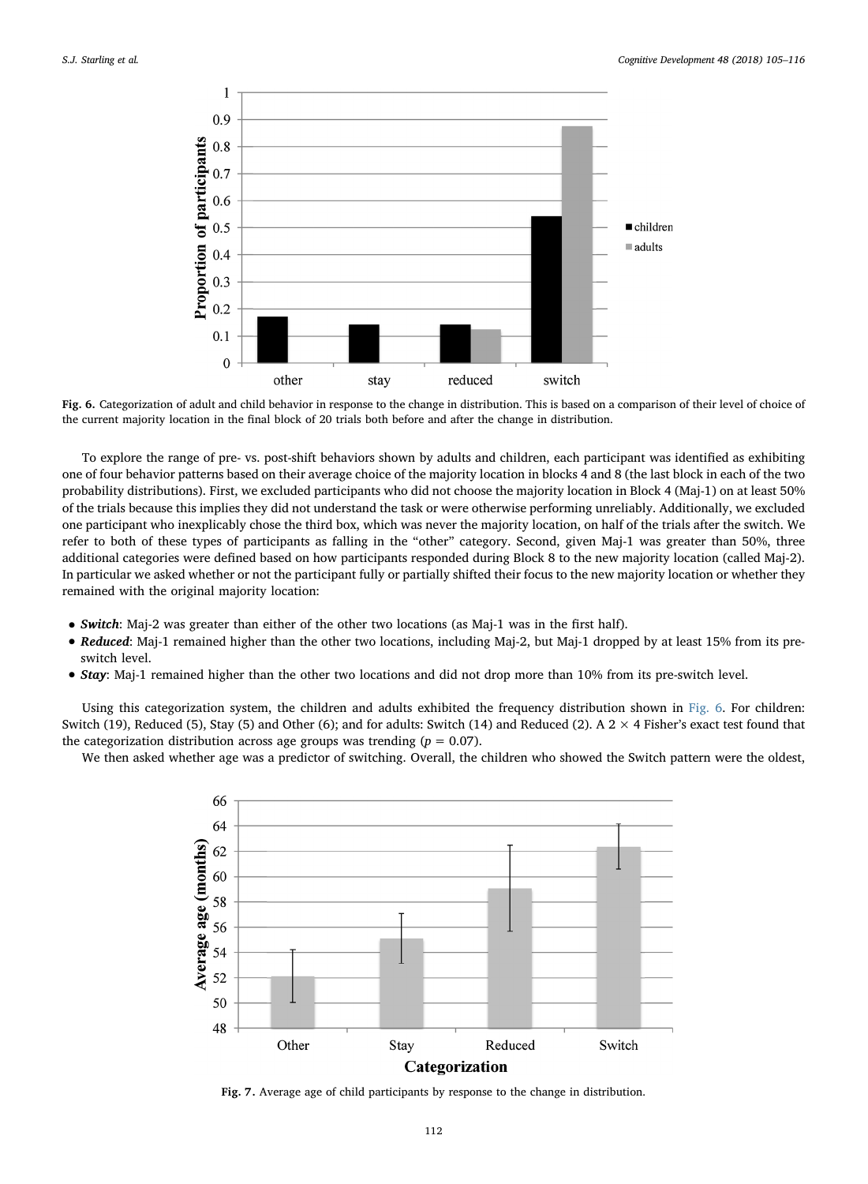<span id="page-7-0"></span>

Fig. 6. Categorization of adult and child behavior in response to the change in distribution. This is based on a comparison of their level of choice of the current majority location in the final block of 20 trials both before and after the change in distribution.

To explore the range of pre- vs. post-shift behaviors shown by adults and children, each participant was identified as exhibiting one of four behavior patterns based on their average choice of the majority location in blocks 4 and 8 (the last block in each of the two probability distributions). First, we excluded participants who did not choose the majority location in Block 4 (Maj-1) on at least 50% of the trials because this implies they did not understand the task or were otherwise performing unreliably. Additionally, we excluded one participant who inexplicably chose the third box, which was never the majority location, on half of the trials after the switch. We refer to both of these types of participants as falling in the "other" category. Second, given Maj-1 was greater than 50%, three additional categories were defined based on how participants responded during Block 8 to the new majority location (called Maj-2). In particular we asked whether or not the participant fully or partially shifted their focus to the new majority location or whether they remained with the original majority location:

- Switch: Maj-2 was greater than either of the other two locations (as Maj-1 was in the first half).
- Reduced: Maj-1 remained higher than the other two locations, including Maj-2, but Maj-1 dropped by at least 15% from its preswitch level.
- Stay: Maj-1 remained higher than the other two locations and did not drop more than 10% from its pre-switch level.

Using this categorization system, the children and adults exhibited the frequency distribution shown in [Fig. 6](#page-7-0). For children: Switch (19), Reduced (5), Stay (5) and Other (6); and for adults: Switch (14) and Reduced (2). A  $2 \times 4$  Fisher's exact test found that the categorization distribution across age groups was trending ( $p = 0.07$ ).

<span id="page-7-1"></span>We then asked whether age was a predictor of switching. Overall, the children who showed the Switch pattern were the oldest,



Fig. 7. Average age of child participants by response to the change in distribution.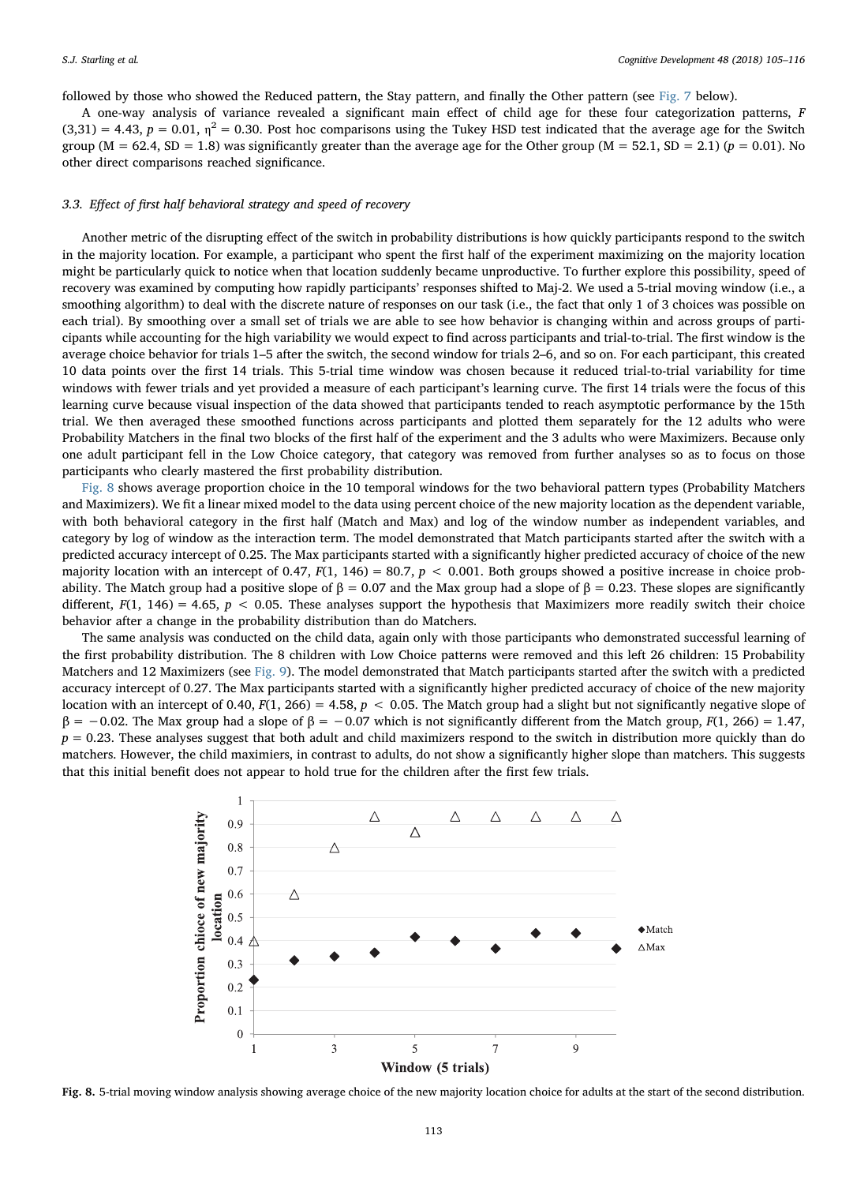followed by those who showed the Reduced pattern, the Stay pattern, and finally the Other pattern (see [Fig. 7](#page-7-1) below).

A one-way analysis of variance revealed a significant main effect of child age for these four categorization patterns, F  $(3,31) = 4.43$ ,  $p = 0.01$ ,  $n^2 = 0.30$ . Post hoc comparisons using the Tukey HSD test indicated that the average age for the Switch group ( $M = 62.4$ ,  $SD = 1.8$ ) was significantly greater than the average age for the Other group ( $M = 52.1$ ,  $SD = 2.1$ ) ( $p = 0.01$ ). No other direct comparisons reached significance.

## 3.3. Effect of first half behavioral strategy and speed of recovery

Another metric of the disrupting effect of the switch in probability distributions is how quickly participants respond to the switch in the majority location. For example, a participant who spent the first half of the experiment maximizing on the majority location might be particularly quick to notice when that location suddenly became unproductive. To further explore this possibility, speed of recovery was examined by computing how rapidly participants' responses shifted to Maj-2. We used a 5-trial moving window (i.e., a smoothing algorithm) to deal with the discrete nature of responses on our task (i.e., the fact that only 1 of 3 choices was possible on each trial). By smoothing over a small set of trials we are able to see how behavior is changing within and across groups of participants while accounting for the high variability we would expect to find across participants and trial-to-trial. The first window is the average choice behavior for trials 1–5 after the switch, the second window for trials 2–6, and so on. For each participant, this created 10 data points over the first 14 trials. This 5-trial time window was chosen because it reduced trial-to-trial variability for time windows with fewer trials and yet provided a measure of each participant's learning curve. The first 14 trials were the focus of this learning curve because visual inspection of the data showed that participants tended to reach asymptotic performance by the 15th trial. We then averaged these smoothed functions across participants and plotted them separately for the 12 adults who were Probability Matchers in the final two blocks of the first half of the experiment and the 3 adults who were Maximizers. Because only one adult participant fell in the Low Choice category, that category was removed from further analyses so as to focus on those participants who clearly mastered the first probability distribution.

[Fig. 8](#page-8-0) shows average proportion choice in the 10 temporal windows for the two behavioral pattern types (Probability Matchers and Maximizers). We fit a linear mixed model to the data using percent choice of the new majority location as the dependent variable, with both behavioral category in the first half (Match and Max) and log of the window number as independent variables, and category by log of window as the interaction term. The model demonstrated that Match participants started after the switch with a predicted accuracy intercept of 0.25. The Max participants started with a significantly higher predicted accuracy of choice of the new majority location with an intercept of 0.47,  $F(1, 146) = 80.7$ ,  $p < 0.001$ . Both groups showed a positive increase in choice probability. The Match group had a positive slope of  $\beta = 0.07$  and the Max group had a slope of  $\beta = 0.23$ . These slopes are significantly different,  $F(1, 146) = 4.65$ ,  $p < 0.05$ . These analyses support the hypothesis that Maximizers more readily switch their choice behavior after a change in the probability distribution than do Matchers.

The same analysis was conducted on the child data, again only with those participants who demonstrated successful learning of the first probability distribution. The 8 children with Low Choice patterns were removed and this left 26 children: 15 Probability Matchers and 12 Maximizers (see [Fig. 9\)](#page-9-0). The model demonstrated that Match participants started after the switch with a predicted accuracy intercept of 0.27. The Max participants started with a significantly higher predicted accuracy of choice of the new majority location with an intercept of 0.40,  $F(1, 266) = 4.58$ ,  $p < 0.05$ . The Match group had a slight but not significantly negative slope of  $β = -0.02$ . The Max group had a slope of  $β = -0.07$  which is not significantly different from the Match group,  $F(1, 266) = 1.47$ ,  $p = 0.23$ . These analyses suggest that both adult and child maximizers respond to the switch in distribution more quickly than do matchers. However, the child maximiers, in contrast to adults, do not show a significantly higher slope than matchers. This suggests that this initial benefit does not appear to hold true for the children after the first few trials.

<span id="page-8-0"></span>

Fig. 8. 5-trial moving window analysis showing average choice of the new majority location choice for adults at the start of the second distribution.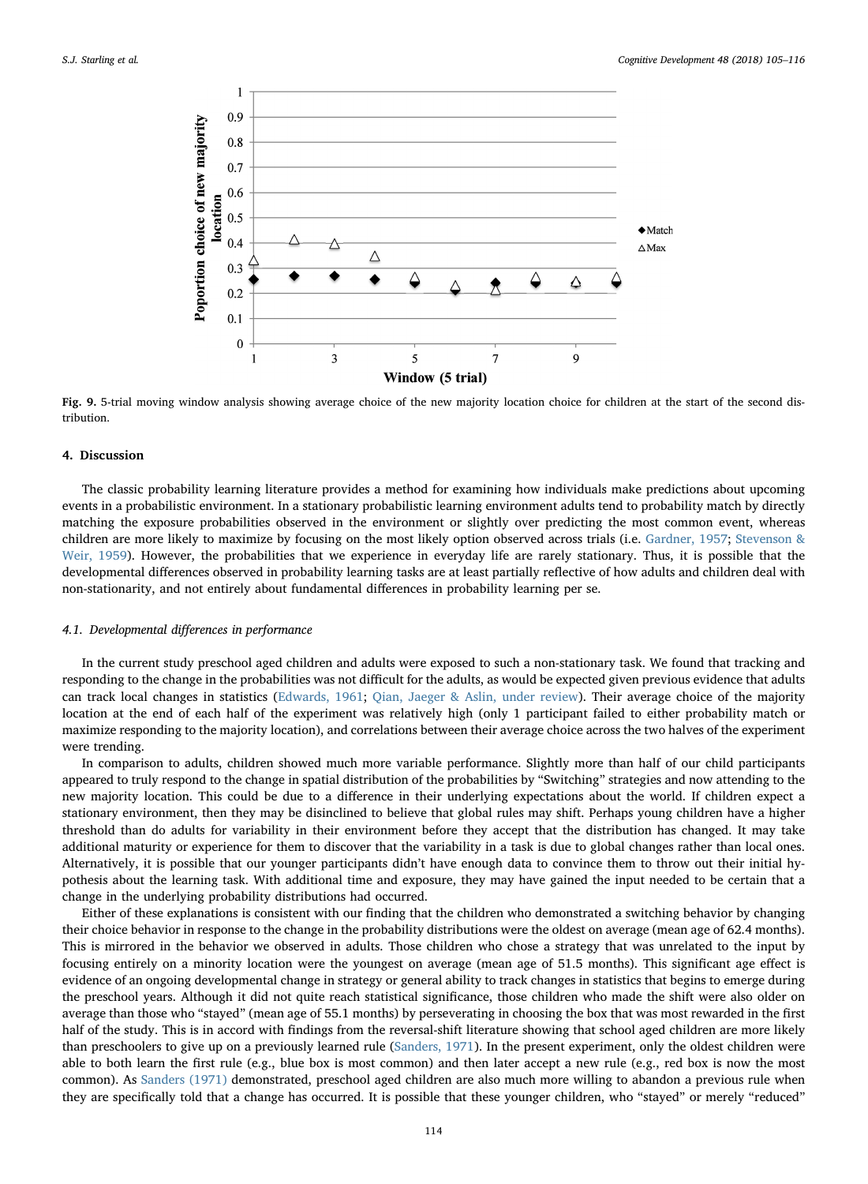<span id="page-9-0"></span>

Fig. 9. 5-trial moving window analysis showing average choice of the new majority location choice for children at the start of the second distribution.

## 4. Discussion

The classic probability learning literature provides a method for examining how individuals make predictions about upcoming events in a probabilistic environment. In a stationary probabilistic learning environment adults tend to probability match by directly matching the exposure probabilities observed in the environment or slightly over predicting the most common event, whereas children are more likely to maximize by focusing on the most likely option observed across trials (i.e. [Gardner, 1957;](#page-11-13) [Stevenson &](#page-11-33) [Weir, 1959\)](#page-11-33). However, the probabilities that we experience in everyday life are rarely stationary. Thus, it is possible that the developmental differences observed in probability learning tasks are at least partially reflective of how adults and children deal with non-stationarity, and not entirely about fundamental differences in probability learning per se.

#### 4.1. Developmental differences in performance

In the current study preschool aged children and adults were exposed to such a non-stationary task. We found that tracking and responding to the change in the probabilities was not difficult for the adults, as would be expected given previous evidence that adults can track local changes in statistics [\(Edwards, 1961](#page-11-34); [Qian, Jaeger & Aslin, under review\)](#page-11-35). Their average choice of the majority location at the end of each half of the experiment was relatively high (only 1 participant failed to either probability match or maximize responding to the majority location), and correlations between their average choice across the two halves of the experiment were trending.

In comparison to adults, children showed much more variable performance. Slightly more than half of our child participants appeared to truly respond to the change in spatial distribution of the probabilities by "Switching" strategies and now attending to the new majority location. This could be due to a difference in their underlying expectations about the world. If children expect a stationary environment, then they may be disinclined to believe that global rules may shift. Perhaps young children have a higher threshold than do adults for variability in their environment before they accept that the distribution has changed. It may take additional maturity or experience for them to discover that the variability in a task is due to global changes rather than local ones. Alternatively, it is possible that our younger participants didn't have enough data to convince them to throw out their initial hypothesis about the learning task. With additional time and exposure, they may have gained the input needed to be certain that a change in the underlying probability distributions had occurred.

Either of these explanations is consistent with our finding that the children who demonstrated a switching behavior by changing their choice behavior in response to the change in the probability distributions were the oldest on average (mean age of 62.4 months). This is mirrored in the behavior we observed in adults. Those children who chose a strategy that was unrelated to the input by focusing entirely on a minority location were the youngest on average (mean age of 51.5 months). This significant age effect is evidence of an ongoing developmental change in strategy or general ability to track changes in statistics that begins to emerge during the preschool years. Although it did not quite reach statistical significance, those children who made the shift were also older on average than those who "stayed" (mean age of 55.1 months) by perseverating in choosing the box that was most rewarded in the first half of the study. This is in accord with findings from the reversal-shift literature showing that school aged children are more likely than preschoolers to give up on a previously learned rule ([Sanders, 1971\)](#page-11-29). In the present experiment, only the oldest children were able to both learn the first rule (e.g., blue box is most common) and then later accept a new rule (e.g., red box is now the most common). As [Sanders \(1971\)](#page-11-29) demonstrated, preschool aged children are also much more willing to abandon a previous rule when they are specifically told that a change has occurred. It is possible that these younger children, who "stayed" or merely "reduced"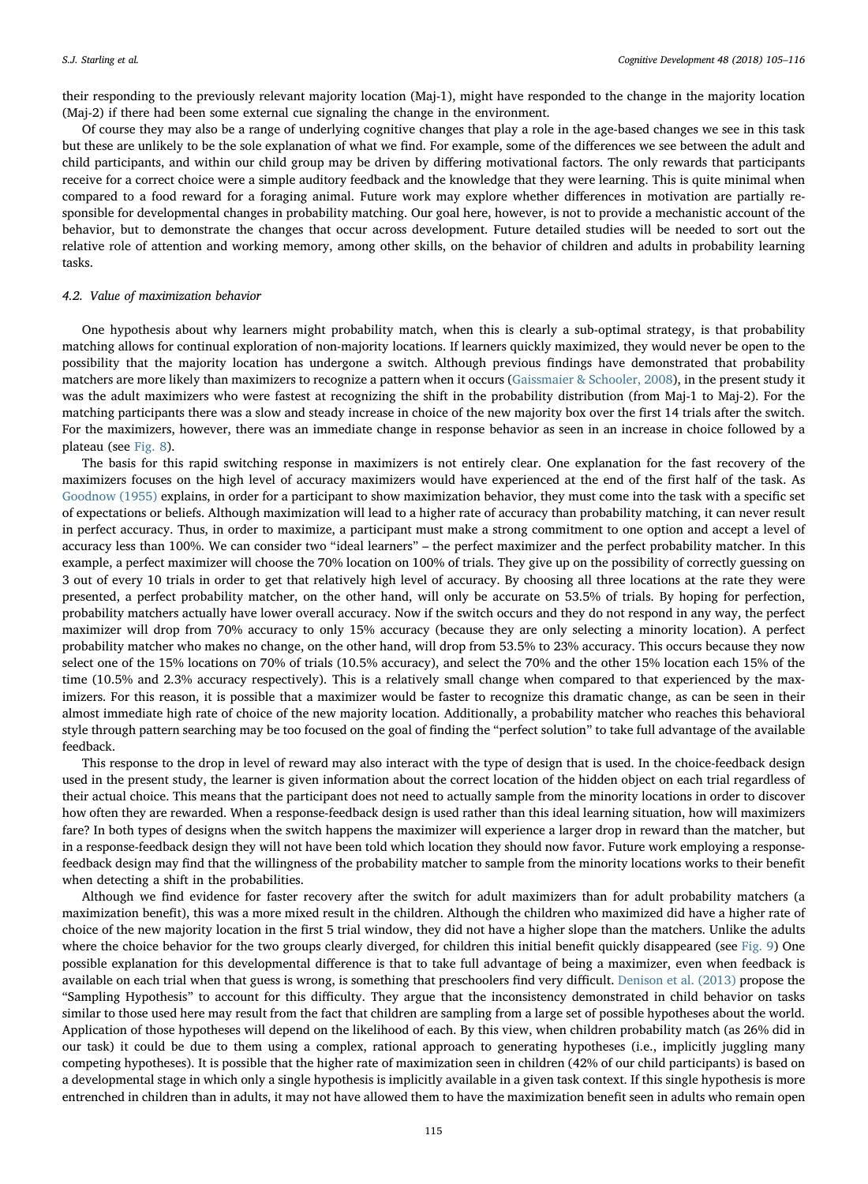their responding to the previously relevant majority location (Maj-1), might have responded to the change in the majority location (Maj-2) if there had been some external cue signaling the change in the environment.

Of course they may also be a range of underlying cognitive changes that play a role in the age-based changes we see in this task but these are unlikely to be the sole explanation of what we find. For example, some of the differences we see between the adult and child participants, and within our child group may be driven by differing motivational factors. The only rewards that participants receive for a correct choice were a simple auditory feedback and the knowledge that they were learning. This is quite minimal when compared to a food reward for a foraging animal. Future work may explore whether differences in motivation are partially responsible for developmental changes in probability matching. Our goal here, however, is not to provide a mechanistic account of the behavior, but to demonstrate the changes that occur across development. Future detailed studies will be needed to sort out the relative role of attention and working memory, among other skills, on the behavior of children and adults in probability learning tasks.

#### 4.2. Value of maximization behavior

One hypothesis about why learners might probability match, when this is clearly a sub-optimal strategy, is that probability matching allows for continual exploration of non-majority locations. If learners quickly maximized, they would never be open to the possibility that the majority location has undergone a switch. Although previous findings have demonstrated that probability matchers are more likely than maximizers to recognize a pattern when it occurs [\(Gaissmaier & Schooler, 2008](#page-11-31)), in the present study it was the adult maximizers who were fastest at recognizing the shift in the probability distribution (from Maj-1 to Maj-2). For the matching participants there was a slow and steady increase in choice of the new majority box over the first 14 trials after the switch. For the maximizers, however, there was an immediate change in response behavior as seen in an increase in choice followed by a plateau (see [Fig. 8\)](#page-8-0).

The basis for this rapid switching response in maximizers is not entirely clear. One explanation for the fast recovery of the maximizers focuses on the high level of accuracy maximizers would have experienced at the end of the first half of the task. As [Goodnow \(1955\)](#page-11-36) explains, in order for a participant to show maximization behavior, they must come into the task with a specific set of expectations or beliefs. Although maximization will lead to a higher rate of accuracy than probability matching, it can never result in perfect accuracy. Thus, in order to maximize, a participant must make a strong commitment to one option and accept a level of accuracy less than 100%. We can consider two "ideal learners" – the perfect maximizer and the perfect probability matcher. In this example, a perfect maximizer will choose the 70% location on 100% of trials. They give up on the possibility of correctly guessing on 3 out of every 10 trials in order to get that relatively high level of accuracy. By choosing all three locations at the rate they were presented, a perfect probability matcher, on the other hand, will only be accurate on 53.5% of trials. By hoping for perfection, probability matchers actually have lower overall accuracy. Now if the switch occurs and they do not respond in any way, the perfect maximizer will drop from 70% accuracy to only 15% accuracy (because they are only selecting a minority location). A perfect probability matcher who makes no change, on the other hand, will drop from 53.5% to 23% accuracy. This occurs because they now select one of the 15% locations on 70% of trials (10.5% accuracy), and select the 70% and the other 15% location each 15% of the time (10.5% and 2.3% accuracy respectively). This is a relatively small change when compared to that experienced by the maximizers. For this reason, it is possible that a maximizer would be faster to recognize this dramatic change, as can be seen in their almost immediate high rate of choice of the new majority location. Additionally, a probability matcher who reaches this behavioral style through pattern searching may be too focused on the goal of finding the "perfect solution" to take full advantage of the available feedback.

This response to the drop in level of reward may also interact with the type of design that is used. In the choice-feedback design used in the present study, the learner is given information about the correct location of the hidden object on each trial regardless of their actual choice. This means that the participant does not need to actually sample from the minority locations in order to discover how often they are rewarded. When a response-feedback design is used rather than this ideal learning situation, how will maximizers fare? In both types of designs when the switch happens the maximizer will experience a larger drop in reward than the matcher, but in a response-feedback design they will not have been told which location they should now favor. Future work employing a responsefeedback design may find that the willingness of the probability matcher to sample from the minority locations works to their benefit when detecting a shift in the probabilities.

Although we find evidence for faster recovery after the switch for adult maximizers than for adult probability matchers (a maximization benefit), this was a more mixed result in the children. Although the children who maximized did have a higher rate of choice of the new majority location in the first 5 trial window, they did not have a higher slope than the matchers. Unlike the adults where the choice behavior for the two groups clearly diverged, for children this initial benefit quickly disappeared (see [Fig. 9\)](#page-9-0) One possible explanation for this developmental difference is that to take full advantage of being a maximizer, even when feedback is available on each trial when that guess is wrong, is something that preschoolers find very difficult. Denison [et al. \(2013\)](#page-11-10) propose the "Sampling Hypothesis" to account for this difficulty. They argue that the inconsistency demonstrated in child behavior on tasks similar to those used here may result from the fact that children are sampling from a large set of possible hypotheses about the world. Application of those hypotheses will depend on the likelihood of each. By this view, when children probability match (as 26% did in our task) it could be due to them using a complex, rational approach to generating hypotheses (i.e., implicitly juggling many competing hypotheses). It is possible that the higher rate of maximization seen in children (42% of our child participants) is based on a developmental stage in which only a single hypothesis is implicitly available in a given task context. If this single hypothesis is more entrenched in children than in adults, it may not have allowed them to have the maximization benefit seen in adults who remain open